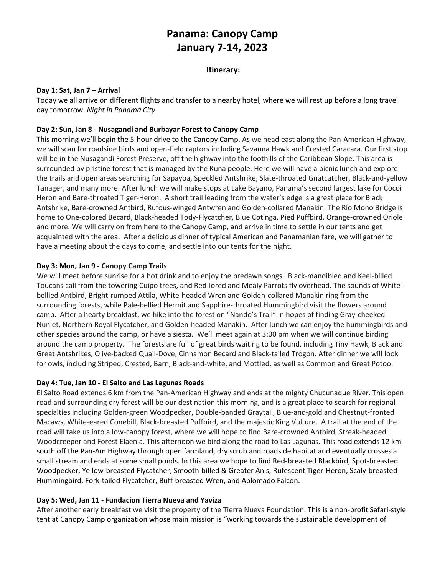# **Panama: Canopy Camp January 7-14, 2023**

## **Itinerary:**

#### **Day 1: Sat, Jan 7 – Arrival**

Today we all arrive on different flights and transfer to a nearby hotel, where we will rest up before a long travel day tomorrow. *Night in Panama City*

## **Day 2: Sun, Jan 8 - Nusagandi and Burbayar Forest to Canopy Camp**

This morning we'll begin the 5-hour drive to the Canopy Camp. As we head east along the Pan-American Highway, we will scan for roadside birds and open-field raptors including Savanna Hawk and Crested Caracara. Our first stop will be in the Nusagandi Forest Preserve, off the highway into the foothills of the Caribbean Slope. This area is surrounded by pristine forest that is managed by the Kuna people. Here we will have a picnic lunch and explore the trails and open areas searching for Sapayoa, Speckled Antshrike, Slate-throated Gnatcatcher, Black-and-yellow Tanager, and many more. After lunch we will make stops at Lake Bayano, Panama's second largest lake for Cocoi Heron and Bare-throated Tiger-Heron. A short trail leading from the water's edge is a great place for Black Antshrike, Bare-crowned Antbird, Rufous-winged Antwren and Golden-collared Manakin. The Río Mono Bridge is home to One-colored Becard, Black-headed Tody-Flycatcher, Blue Cotinga, Pied Puffbird, Orange-crowned Oriole and more. We will carry on from here to the Canopy Camp, and arrive in time to settle in our tents and get acquainted with the area. After a delicious dinner of typical American and Panamanian fare, we will gather to have a meeting about the days to come, and settle into our tents for the night.

## **Day 3: Mon, Jan 9 - Canopy Camp Trails**

We will meet before sunrise for a hot drink and to enjoy the predawn songs. Black-mandibled and Keel-billed Toucans call from the towering Cuipo trees, and Red-lored and Mealy Parrots fly overhead. The sounds of Whitebellied Antbird, Bright-rumped Attila, White-headed Wren and Golden-collared Manakin ring from the surrounding forests, while Pale-bellied Hermit and Sapphire-throated Hummingbird visit the flowers around camp. After a hearty breakfast, we hike into the forest on "Nando's Trail" in hopes of finding Gray-cheeked Nunlet, Northern Royal Flycatcher, and Golden-headed Manakin. After lunch we can enjoy the hummingbirds and other species around the camp, or have a siesta. We'll meet again at 3:00 pm when we will continue birding around the camp property. The forests are full of great birds waiting to be found, including Tiny Hawk, Black and Great Antshrikes, Olive-backed Quail-Dove, Cinnamon Becard and Black-tailed Trogon. After dinner we will look for owls, including Striped, Crested, Barn, Black-and-white, and Mottled, as well as Common and Great Potoo.

#### **Day 4: Tue, Jan 10 - El Salto and Las Lagunas Roads**

El Salto Road extends 6 km from the Pan-American Highway and ends at the mighty Chucunaque River. This open road and surrounding dry forest will be our destination this morning, and is a great place to search for regional specialties including Golden-green Woodpecker, Double-banded Graytail, Blue-and-gold and Chestnut-fronted Macaws, White-eared Conebill, Black-breasted Puffbird, and the majestic King Vulture. A trail at the end of the road will take us into a low-canopy forest, where we will hope to find Bare-crowned Antbird, Streak-headed Woodcreeper and Forest Elaenia. This afternoon we bird along the road to Las Lagunas. This road extends 12 km south off the Pan-Am Highway through open farmland, dry scrub and roadside habitat and eventually crosses a small stream and ends at some small ponds. In this area we hope to find Red-breasted Blackbird, Spot-breasted Woodpecker, Yellow-breasted Flycatcher, Smooth-billed & Greater Anis, Rufescent Tiger-Heron, Scaly-breasted Hummingbird, Fork-tailed Flycatcher, Buff-breasted Wren, and Aplomado Falcon.

#### **Day 5: Wed, Jan 11 - Fundacion Tierra Nueva and Yaviza**

After another early breakfast we visit the property of the Tierra Nueva Foundation. This is a non-profit Safari-style tent at Canopy Camp organization whose main mission is "working towards the sustainable development of